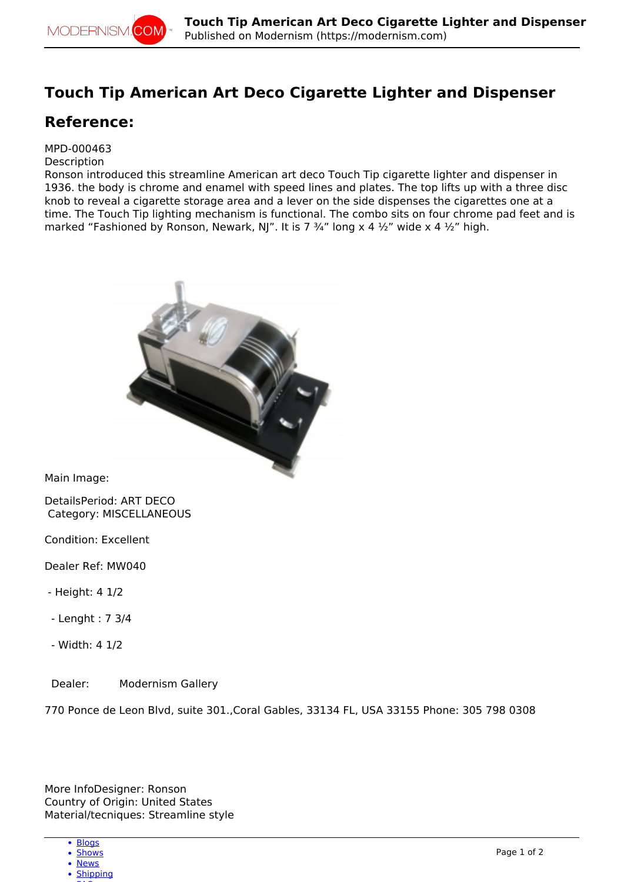## **Touch Tip American Art Deco Cigarette Lighter and Dispenser**

## **Reference:**

## MPD-000463

## **Description**

Ronson introduced this streamline American art deco Touch Tip cigarette lighter and dispenser in 1936. the body is chrome and enamel with speed lines and plates. The top lifts up with a three disc knob to reveal a cigarette storage area and a lever on the side dispenses the cigarettes one at a time. The Touch Tip lighting mechanism is functional. The combo sits on four chrome pad feet and is marked "Fashioned by Ronson, Newark, NJ". It is 7  $\frac{3}{4}$ " long x 4  $\frac{1}{2}$ " wide x 4  $\frac{1}{2}$ " high.



Main Image:

DetailsPeriod: ART DECO Category: MISCELLANEOUS

Condition: Excellent

Dealer Ref: MW040

- Height: 4 1/2
- Lenght : 7 3/4
- Width: 4 1/2

Dealer: Modernism Gallery

770 Ponce de Leon Blvd, suite 301.,Coral Gables, 33134 FL, USA 33155 Phone: 305 798 0308

More InfoDesigner: Ronson Country of Origin: United States Material/tecniques: Streamline style

- [Blogs](http://modernism.com/blog)
- [Shows](http://modernism.com/show) • [News](http://modernism.com/articles)